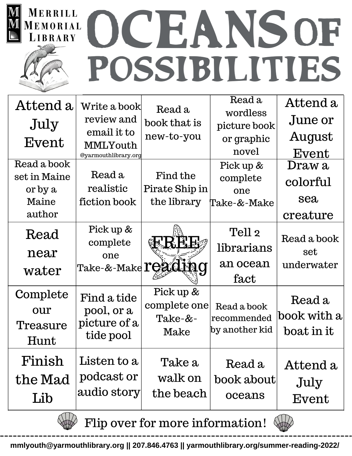

| Attend a<br>July<br>Event                                 | Write a book<br>review and<br>email it to<br>MMLYouth<br>@yarmouthlibrary.org   | Read a<br>book that is<br>new-to-you           | Read a<br>wordless<br>picture book<br>or graphic<br>novel | Attend a<br>June or<br>August<br>Event |
|-----------------------------------------------------------|---------------------------------------------------------------------------------|------------------------------------------------|-----------------------------------------------------------|----------------------------------------|
| Read a book<br>set in Maine<br>or by a<br>Maine<br>author | Read a<br>realistic<br>fiction book                                             | Find the<br>Pirate Ship in<br>the library      | Pick up &<br>complete<br>one<br>Take-&-Make               | Draw a<br>colorful<br>sea<br>creature  |
| Read<br>near<br>water                                     | Pick up &<br>complete<br>one<br>'Take-&-Make $\mathop{\mathrm{TCZGL}}\nolimits$ | H'H<br>M                                       | Tell 2<br>librarians<br>an ocean<br>fact                  | Read a book<br>set<br>underwater       |
| Complete<br>our<br>Treasure<br>Hunt                       | Find a tide<br>pool, or a<br>picture of a<br>tide pool                          | Pick up &<br>complete one<br>$Take-&-$<br>Make | Read a book<br>recommended<br>by another kid              | Read a<br>book with a<br>boat in it    |
| Finish<br>the Mad<br>Lib                                  | Listen to a<br>podcast or<br>audio story                                        | Take a<br>walk on<br>the beach                 | Read a<br>book about<br>oceans                            | Attend a<br>July<br>Event              |

Flip over for more information!

**mmlyouth@yarmouthlibrary.org || 207.846.4763 || yarmouthlibrary.org/summer-reading-2022/**